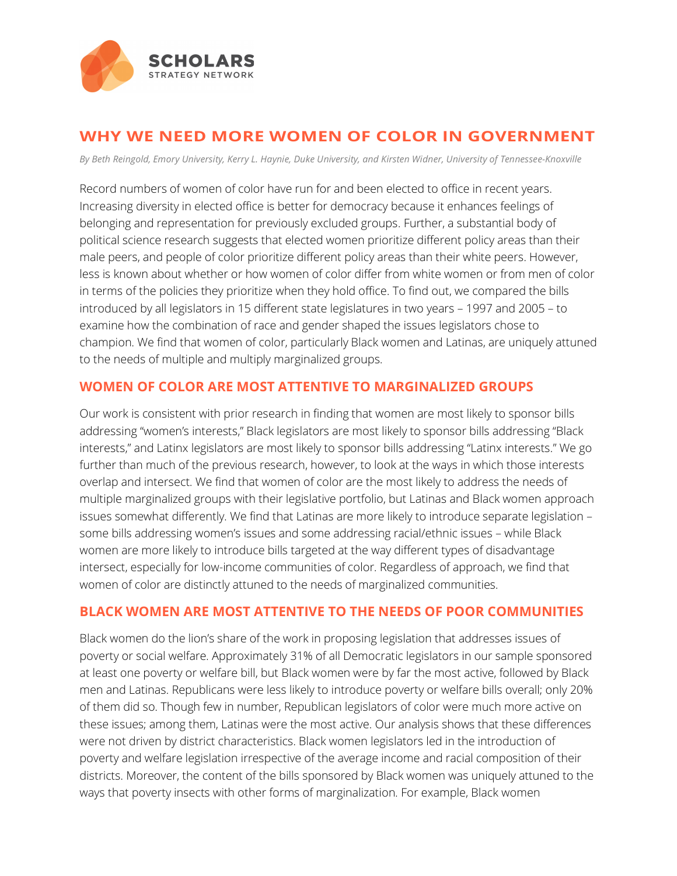

# **WHY WE NEED MORE WOMEN OF COLOR IN GOVERNMENT**

*By Beth Reingold, Emory University, Kerry L. Haynie, Duke University, and Kirsten Widner, University of Tennessee-Knoxville*

Record numbers of women of color have run for and been elected to office in recent years. Increasing diversity in elected office is better for democracy because it enhances feelings of belonging and representation for previously excluded groups. Further, a substantial body of political science research suggests that elected women prioritize different policy areas than their male peers, and people of color prioritize different policy areas than their white peers. However, less is known about whether or how women of color differ from white women or from men of color in terms of the policies they prioritize when they hold office. To find out, we compared the bills introduced by all legislators in 15 different state legislatures in two years – 1997 and 2005 – to examine how the combination of race and gender shaped the issues legislators chose to champion. We find that women of color, particularly Black women and Latinas, are uniquely attuned to the needs of multiple and multiply marginalized groups.

#### **WOMEN OF COLOR ARE MOST ATTENTIVE TO MARGINALIZED GROUPS**

Our work is consistent with prior research in finding that women are most likely to sponsor bills addressing "women's interests," Black legislators are most likely to sponsor bills addressing "Black interests," and Latinx legislators are most likely to sponsor bills addressing "Latinx interests." We go further than much of the previous research, however, to look at the ways in which those interests overlap and intersect. We find that women of color are the most likely to address the needs of multiple marginalized groups with their legislative portfolio, but Latinas and Black women approach issues somewhat differently. We find that Latinas are more likely to introduce separate legislation – some bills addressing women's issues and some addressing racial/ethnic issues – while Black women are more likely to introduce bills targeted at the way different types of disadvantage intersect, especially for low-income communities of color. Regardless of approach, we find that women of color are distinctly attuned to the needs of marginalized communities.

#### **BLACK WOMEN ARE MOST ATTENTIVE TO THE NEEDS OF POOR COMMUNITIES**

Black women do the lion's share of the work in proposing legislation that addresses issues of poverty or social welfare. Approximately 31% of all Democratic legislators in our sample sponsored at least one poverty or welfare bill, but Black women were by far the most active, followed by Black men and Latinas. Republicans were less likely to introduce poverty or welfare bills overall; only 20% of them did so. Though few in number, Republican legislators of color were much more active on these issues; among them, Latinas were the most active. Our analysis shows that these differences were not driven by district characteristics. Black women legislators led in the introduction of poverty and welfare legislation irrespective of the average income and racial composition of their districts. Moreover, the content of the bills sponsored by Black women was uniquely attuned to the ways that poverty insects with other forms of marginalization. For example, Black women